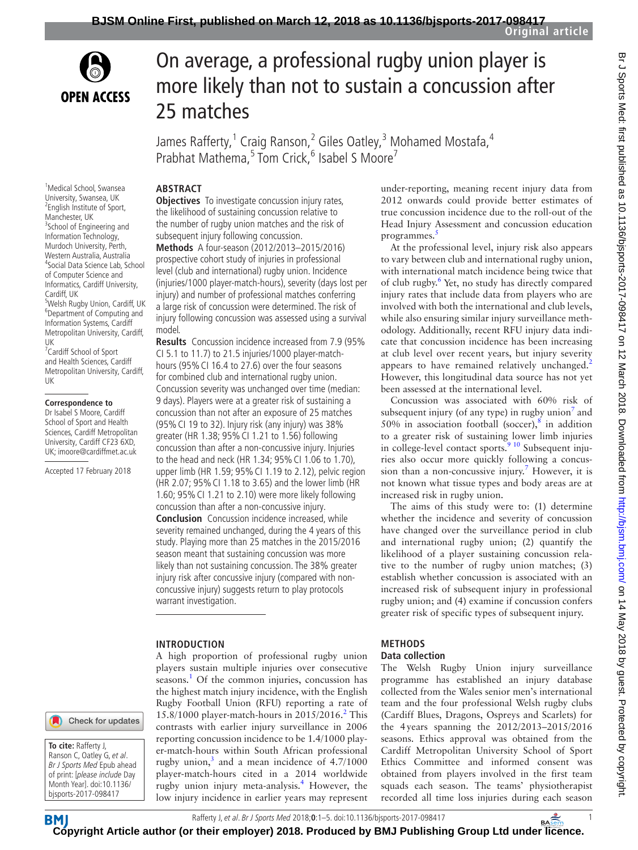



<sup>1</sup>Medical School, Swansea University, Swansea, UK <sup>2</sup> English Institute of Sport, Manchester, UK <sup>3</sup>School of Engineering and Information Technology, Murdoch University, Perth, Western Australia, Australia 4 Social Data Science Lab, School of Computer Science and Informatics, Cardiff University,

<sup>5</sup>Welsh Rugby Union, Cardiff, UK 6 Department of Computing and Information Systems, Cardiff Metropolitan University, Cardiff,

<sup>7</sup> Cardiff School of Sport and Health Sciences, Cardiff Metropolitan University, Cardiff,

**Correspondence to** Dr Isabel S Moore, Cardiff School of Sport and Health Sciences, Cardiff Metropolitan University, Cardiff CF23 6XD, UK; imoore@cardiffmet.ac.uk Accepted 17 February 2018

Cardiff, UK

UK

UK

# On average, a professional rugby union player is more likely than not to sustain a concussion after 25 matches

James Rafferty, 1 Craig Ranson, 2 Giles Oatley, 3 Mohamed Mostafa, 4 Prabhat Mathema,<sup>5</sup> Tom Crick,<sup>6</sup> Isabel S Moore<sup>7</sup>

## **Abstract**

**Objectives** To investigate concussion injury rates, the likelihood of sustaining concussion relative to the number of rugby union matches and the risk of subsequent injury following concussion.

**Methods** A four-season (2012/2013–2015/2016) prospective cohort study of injuries in professional level (club and international) rugby union. Incidence (injuries/1000 player-match-hours), severity (days lost per injury) and number of professional matches conferring a large risk of concussion were determined. The risk of injury following concussion was assessed using a survival model.

**Results** Concussion incidence increased from 7.9 (95% CI 5.1 to 11.7) to 21.5 injuries/1000 player-matchhours (95% CI 16.4 to 27.6) over the four seasons for combined club and international rugby union. Concussion severity was unchanged over time (median: 9 days). Players were at a greater risk of sustaining a concussion than not after an exposure of 25 matches (95%CI 19 to 32). Injury risk (any injury) was 38% greater (HR 1.38; 95%CI 1.21 to 1.56) following concussion than after a non-concussive injury. Injuries to the head and neck (HR 1.34; 95%CI 1.06 to 1.70), upper limb (HR 1.59; 95%CI 1.19 to 2.12), pelvic region (HR 2.07; 95%CI 1.18 to 3.65) and the lower limb (HR 1.60; 95%CI 1.21 to 2.10) were more likely following concussion than after a non-concussive injury. **Conclusion** Concussion incidence increased, while severity remained unchanged, during the 4 years of this study. Playing more than 25 matches in the 2015/2016 season meant that sustaining concussion was more likely than not sustaining concussion. The 38% greater injury risk after concussive injury (compared with nonconcussive injury) suggests return to play protocols warrant investigation.

#### **Introduction**

A high proportion of professional rugby union players sustain multiple injuries over consecutive seasons.<sup>[1](#page-4-0)</sup> Of the common injuries, concussion has the highest match injury incidence, with the English Rugby Football Union (RFU) reporting a rate of 15.8/1000 player-match-hours in [2](#page-4-1)015/2016.<sup>2</sup> This contrasts with earlier injury surveillance in 2006 reporting concussion incidence to be 1.4/1000 player-match-hours within South African professional rugby union, $3$  and a mean incidence of 4.7/1000 player-match-hours cited in a 2014 worldwide rugby union injury meta-analysis.[4](#page-4-3) However, the low injury incidence in earlier years may represent

under-reporting, meaning recent injury data from 2012 onwards could provide better estimates of true concussion incidence due to the roll-out of the Head Injury Assessment and concussion education programmes.<sup>[5](#page-4-4)</sup>

At the professional level, injury risk also appears to vary between club and international rugby union, with international match incidence being twice that of club rugby.<sup>[6](#page-4-5)</sup> Yet, no study has directly compared injury rates that include data from players who are involved with both the international and club levels, while also ensuring similar injury surveillance methodology. Additionally, recent RFU injury data indicate that concussion incidence has been increasing at club level over recent years, but injury severity appears to have remained relatively unchanged.<sup>[2](#page-4-1)</sup> However, this longitudinal data source has not yet been assessed at the international level.

Concussion was associated with 60% risk of subsequent injury (of any type) in rugby union $^7$  and 50% in association football (soccer), $8$  in addition to a greater risk of sustaining lower limb injuries in college-level contact sports.<sup>9 10</sup> Subsequent injuries also occur more quickly following a concussion than a non-concussive injury.<sup>7</sup> However, it is not known what tissue types and body areas are at increased risk in rugby union.

The aims of this study were to: (1) determine whether the incidence and severity of concussion have changed over the surveillance period in club and international rugby union; (2) quantify the likelihood of a player sustaining concussion relative to the number of rugby union matches; (3) establish whether concussion is associated with an increased risk of subsequent injury in professional rugby union; and (4) examine if concussion confers greater risk of specific types of subsequent injury.

#### **Methods**

#### **Data collection**

The Welsh Rugby Union injury surveillance programme has established an injury database collected from the Wales senior men's international team and the four professional Welsh rugby clubs (Cardiff Blues, Dragons, Ospreys and Scarlets) for the 4years spanning the 2012/2013–2015/2016 seasons. Ethics approval was obtained from the Cardiff Metropolitan University School of Sport Ethics Committee and informed consent was obtained from players involved in the first team squads each season. The teams' physiotherapist recorded all time loss injuries during each season

Check for updates

**To cite:** Rafferty J, Ranson C, Oatley G, et al. Br J Sports Med Epub ahead of print: [please include Day Month Year]. doi:10.1136/ bjsports-2017-098417

**BMJ** 

Rafferty J, et al. Br J Sports Med 2018;**0**:1–5. doi:10.1136/bjsports-2017-0984171

**[Cop](http://bjsm.bmj.com/)yright Article author (or their employer) 2018. Produced by BMJ Publishing Group Ltd under licence.** 

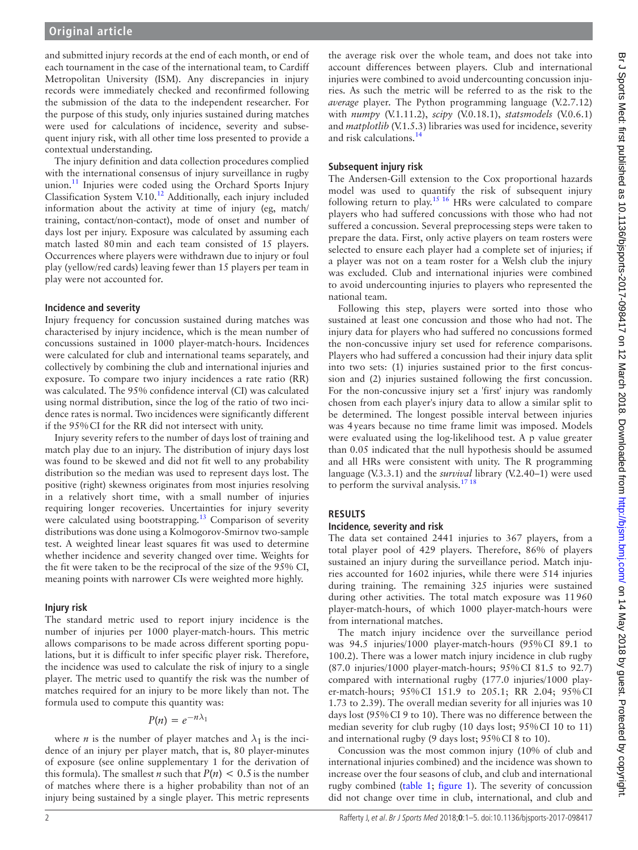and submitted injury records at the end of each month, or end of each tournament in the case of the international team, to Cardiff Metropolitan University (ISM). Any discrepancies in injury records were immediately checked and reconfirmed following the submission of the data to the independent researcher. For the purpose of this study, only injuries sustained during matches were used for calculations of incidence, severity and subsequent injury risk, with all other time loss presented to provide a contextual understanding.

The injury definition and data collection procedures complied with the international consensus of injury surveillance in rugby union.<sup>11</sup> Injuries were coded using the Orchard Sports Injury Classification System V.10.[12](#page-4-10) Additionally, each injury included information about the activity at time of injury (eg, match/ training, contact/non-contact), mode of onset and number of days lost per injury. Exposure was calculated by assuming each match lasted 80min and each team consisted of 15 players. Occurrences where players were withdrawn due to injury or foul play (yellow/red cards) leaving fewer than 15 players per team in play were not accounted for.

### **Incidence and severity**

Injury frequency for concussion sustained during matches was characterised by injury incidence, which is the mean number of concussions sustained in 1000 player-match-hours. Incidences were calculated for club and international teams separately, and collectively by combining the club and international injuries and exposure. To compare two injury incidences a rate ratio (RR) was calculated. The 95% confidence interval (CI) was calculated using normal distribution, since the log of the ratio of two incidence rates is normal. Two incidences were significantly different if the 95%CI for the RR did not intersect with unity.

Injury severity refers to the number of days lost of training and match play due to an injury. The distribution of injury days lost was found to be skewed and did not fit well to any probability distribution so the median was used to represent days lost. The positive (right) skewness originates from most injuries resolving in a relatively short time, with a small number of injuries requiring longer recoveries. Uncertainties for injury severity were calculated using bootstrapping.<sup>13</sup> Comparison of severity distributions was done using a Kolmogorov-Smirnov two-sample test. A weighted linear least squares fit was used to determine whether incidence and severity changed over time. Weights for the fit were taken to be the reciprocal of the size of the 95% CI, meaning points with narrower CIs were weighted more highly.

## **Injury risk**

The standard metric used to report injury incidence is the number of injuries per 1000 player-match-hours. This metric allows comparisons to be made across different sporting populations, but it is difficult to infer specific player risk. Therefore, the incidence was used to calculate the risk of injury to a single player. The metric used to quantify the risk was the number of matches required for an injury to be more likely than not. The formula used to compute this quantity was:

$$
P(n) = e^{-n\lambda_1}
$$

where *n* is the number of player matches and  $\lambda_1$  is the incidence of an injury per player match, that is, 80 player-minutes of exposure (see online [supplementary 1](https://dx.doi.org/10.1136/bjsports-2017-098417) for the derivation of this formula). The smallest *n* such that  $P(n) < 0.5$  is the number of matches where there is a higher probability than not of an injury being sustained by a single player. This metric represents

the average risk over the whole team, and does not take into account differences between players. Club and international injuries were combined to avoid undercounting concussion injuries. As such the metric will be referred to as the risk to the *average* player. The Python programming language (V.2.7.12) with *numpy* (V.1.11.2), *scipy* (V.0.18.1), *statsmodels* (V.0.6.1) and *matplotlib* (V.1.5.3) libraries was used for incidence, severity and risk calculations.[14](#page-4-12)

## **Subsequent injury risk**

The Andersen-Gill extension to the Cox proportional hazards model was used to quantify the risk of subsequent injury following return to play.<sup>15 16</sup> HRs were calculated to compare players who had suffered concussions with those who had not suffered a concussion. Several preprocessing steps were taken to prepare the data. First, only active players on team rosters were selected to ensure each player had a complete set of injuries; if a player was not on a team roster for a Welsh club the injury was excluded. Club and international injuries were combined to avoid undercounting injuries to players who represented the national team.

Following this step, players were sorted into those who sustained at least one concussion and those who had not. The injury data for players who had suffered no concussions formed the non-concussive injury set used for reference comparisons. Players who had suffered a concussion had their injury data split into two sets: (1) injuries sustained prior to the first concussion and (2) injuries sustained following the first concussion. For the non-concussive injury set a 'first' injury was randomly chosen from each player's injury data to allow a similar split to be determined. The longest possible interval between injuries was 4years because no time frame limit was imposed. Models were evaluated using the log-likelihood test. A p value greater than 0.05 indicated that the null hypothesis should be assumed and all HRs were consistent with unity. The R programming language (V.3.3.1) and the *survival* library (V.2.40–1) were used to perform the survival analysis. $1718$ 

## **Results**

## **Incidence, severity and risk**

The data set contained 2441 injuries to 367 players, from a total player pool of 429 players. Therefore, 86% of players sustained an injury during the surveillance period. Match injuries accounted for 1602 injuries, while there were 514 injuries during training. The remaining 325 injuries were sustained during other activities. The total match exposure was 11960 player-match-hours, of which 1000 player-match-hours were from international matches.

The match injury incidence over the surveillance period was 94.5 injuries/1000 player-match-hours (95%CI 89.1 to 100.2). There was a lower match injury incidence in club rugby (87.0 injuries/1000 player-match-hours; 95%CI 81.5 to 92.7) compared with international rugby (177.0 injuries/1000 player-match-hours; 95%CI 151.9 to 205.1; RR 2.04; 95%CI 1.73 to 2.39). The overall median severity for all injuries was 10 days lost (95%CI 9 to 10). There was no difference between the median severity for club rugby (10 days lost; 95%CI 10 to 11) and international rugby (9 days lost; 95%CI 8 to 10).

Concussion was the most common injury (10% of club and international injuries combined) and the incidence was shown to increase over the four seasons of club, and club and international rugby combined [\(table](#page-2-0) 1; [figure](#page-2-1) 1). The severity of concussion did not change over time in club, international, and club and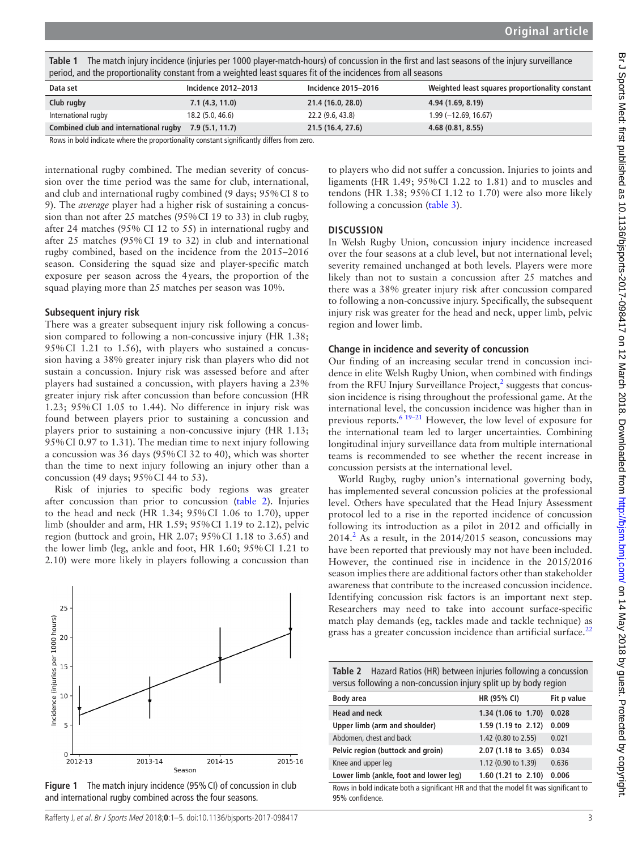<span id="page-2-0"></span>**Table 1** The match injury incidence (injuries per 1000 player-match-hours) of concussion in the first and last seasons of the injury surveillance period, and the proportionality constant from a weighted least squares fit of the incidences from all seasons

| Data set                              | Incidence 2012-2013 | Incidence 2015-2016 | Weighted least squares proportionality constant |
|---------------------------------------|---------------------|---------------------|-------------------------------------------------|
| Club rugby                            | 7.1(4.3, 11.0)      | 21.4 (16.0, 28.0)   | 4.94 (1.69, 8.19)                               |
| International rugby                   | 18.2 (5.0, 46.6)    | 22.2 (9.6, 43.8)    | $1.99(-12.69, 16.67)$                           |
| Combined club and international rugby | 7.9(5.1, 11.7)      | 21.5 (16.4, 27.6)   | 4.68(0.81, 8.55)                                |

Rows in bold indicate where the proportionality constant significantly differs from zero.

international rugby combined. The median severity of concussion over the time period was the same for club, international, and club and international rugby combined (9 days; 95%CI 8 to 9). The *average* player had a higher risk of sustaining a concussion than not after 25 matches (95%CI 19 to 33) in club rugby, after 24 matches (95% CI 12 to 55) in international rugby and after 25 matches (95%CI 19 to 32) in club and international rugby combined, based on the incidence from the 2015–2016 season. Considering the squad size and player-specific match exposure per season across the 4years, the proportion of the squad playing more than 25 matches per season was 10%.

## **Subsequent injury risk**

There was a greater subsequent injury risk following a concussion compared to following a non-concussive injury (HR 1.38; 95%CI 1.21 to 1.56), with players who sustained a concussion having a 38% greater injury risk than players who did not sustain a concussion. Injury risk was assessed before and after players had sustained a concussion, with players having a 23% greater injury risk after concussion than before concussion (HR 1.23; 95%CI 1.05 to 1.44). No difference in injury risk was found between players prior to sustaining a concussion and players prior to sustaining a non-concussive injury (HR 1.13; 95%CI 0.97 to 1.31). The median time to next injury following a concussion was 36 days (95%CI 32 to 40), which was shorter than the time to next injury following an injury other than a concussion (49 days; 95%CI 44 to 53).

Risk of injuries to specific body regions was greater after concussion than prior to concussion [\(table](#page-2-2) 2). Injuries to the head and neck (HR 1.34; 95%CI 1.06 to 1.70), upper limb (shoulder and arm, HR 1.59; 95%CI 1.19 to 2.12), pelvic region (buttock and groin, HR 2.07; 95%CI 1.18 to 3.65) and the lower limb (leg, ankle and foot, HR 1.60; 95%CI 1.21 to 2.10) were more likely in players following a concussion than



<span id="page-2-1"></span>**Figure 1** The match injury incidence (95%CI) of concussion in club and international rugby combined across the four seasons.

Rafferty J, et al. Br J Sports Med 2018;**0**:1–5. doi:10.1136/bjsports-2017-098417 3

to players who did not suffer a concussion. Injuries to joints and ligaments (HR 1.49; 95%CI 1.22 to 1.81) and to muscles and tendons (HR 1.38; 95%CI 1.12 to 1.70) were also more likely following a concussion [\(table](#page-3-0) 3).

## **Discussion**

In Welsh Rugby Union, concussion injury incidence increased over the four seasons at a club level, but not international level; severity remained unchanged at both levels. Players were more likely than not to sustain a concussion after 25 matches and there was a 38% greater injury risk after concussion compared to following a non-concussive injury. Specifically, the subsequent injury risk was greater for the head and neck, upper limb, pelvic region and lower limb.

### **Change in incidence and severity of concussion**

Our finding of an increasing secular trend in concussion incidence in elite Welsh Rugby Union, when combined with findings from the RFU Injury Surveillance Project, $<sup>2</sup>$  suggests that concus-</sup> sion incidence is rising throughout the professional game. At the international level, the concussion incidence was higher than in previous reports.<sup>[6 19–21](#page-4-5)</sup> However, the low level of exposure for the international team led to larger uncertainties. Combining longitudinal injury surveillance data from multiple international teams is recommended to see whether the recent increase in concussion persists at the international level.

World Rugby, rugby union's international governing body, has implemented several concussion policies at the professional level. Others have speculated that the Head Injury Assessment protocol led to a rise in the reported incidence of concussion following its introduction as a pilot in 2012 and officially in  $2014<sup>2</sup>$  $2014<sup>2</sup>$  As a result, in the  $2014/2015$  season, concussions may have been reported that previously may not have been included. However, the continued rise in incidence in the 2015/2016 season implies there are additional factors other than stakeholder awareness that contribute to the increased concussion incidence. Identifying concussion risk factors is an important next step. Researchers may need to take into account surface-specific match play demands (eg, tackles made and tackle technique) as grass has a greater concussion incidence than artificial surface. $^{22}$  $^{22}$  $^{22}$ 

<span id="page-2-2"></span>**Table 2** Hazard Ratios (HR) between injuries following a concussion versus following a non-concussion injury split up by body region

| Body area                                                                             | HR (95% CI)                   | Fit p value |
|---------------------------------------------------------------------------------------|-------------------------------|-------------|
| <b>Head and neck</b>                                                                  | 1.34 (1.06 to 1.70)           | 0.028       |
| Upper limb (arm and shoulder)                                                         | 1.59 (1.19 to 2.12)           | 0.009       |
| Abdomen, chest and back                                                               | 1.42 (0.80 to 2.55)           | 0.021       |
| Pelvic region (buttock and groin)                                                     | $2.07(1.18 \text{ to } 3.65)$ | 0.034       |
| Knee and upper leg                                                                    | 1.12 (0.90 to 1.39)           | 0.636       |
| Lower limb (ankle, foot and lower leg)                                                | $1.60$ (1.21 to 2.10)         | 0.006       |
| Rows in bold indicate both a significant HR and that the model fit was significant to |                               |             |

Rows in bold indicate both a significant HR and that the model fit was significant to 95% confidence.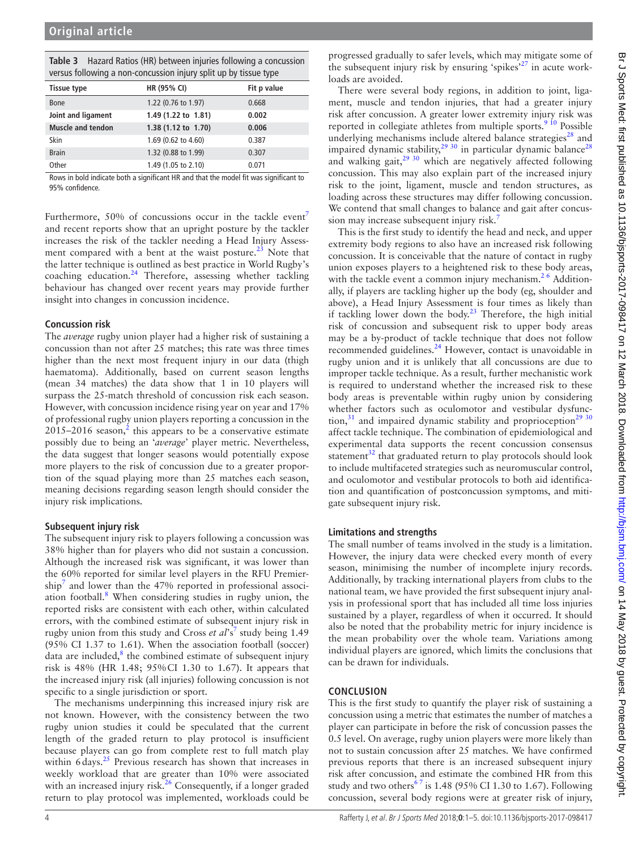<span id="page-3-0"></span>

| <b>Tissue type</b>                                               | HR (95% CI)                                                               | Fit p value |  |  |
|------------------------------------------------------------------|---------------------------------------------------------------------------|-------------|--|--|
| versus following a non-concussion injury split up by tissue type |                                                                           |             |  |  |
|                                                                  | <b>Table 3</b> Hazard Ratios (HR) between injuries following a concussion |             |  |  |

**Table 3** Hazard Ratios (HR) between injuries following a concussion

| <b>Hissue type</b>       | <b>HK (95% CI)</b>  | Fit p value |
|--------------------------|---------------------|-------------|
| <b>Bone</b>              | 1.22 (0.76 to 1.97) | 0.668       |
| Joint and ligament       | 1.49 (1.22 to 1.81) | 0.002       |
| <b>Muscle and tendon</b> | 1.38 (1.12 to 1.70) | 0.006       |
| Skin                     | 1.69 (0.62 to 4.60) | 0.387       |
| <b>Brain</b>             | 1.32 (0.88 to 1.99) | 0.307       |
| Other                    | 1.49 (1.05 to 2.10) | 0.071       |

Rows in bold indicate both a significant HR and that the model fit was significant to 95% confidence.

Furthermore, 50% of concussions occur in the tackle event<sup>7</sup> and recent reports show that an upright posture by the tackler increases the risk of the tackler needing a Head Injury Assessment compared with a bent at the waist posture. $^{23}$  $^{23}$  $^{23}$  Note that the latter technique is outlined as best practice in World Rugby's coaching education. $24$  Therefore, assessing whether tackling behaviour has changed over recent years may provide further insight into changes in concussion incidence.

### **Concussion risk**

The *average* rugby union player had a higher risk of sustaining a concussion than not after 25 matches; this rate was three times higher than the next most frequent injury in our data (thigh haematoma). Additionally, based on current season lengths (mean 34 matches) the data show that 1 in 10 players will surpass the 25-match threshold of concussion risk each season. However, with concussion incidence rising year on year and 17% of professional rugby union players reporting a concussion in the  $2015 - 2016$  $2015 - 2016$  season,<sup>2</sup> this appears to be a conservative estimate possibly due to being an '*average*' player metric. Nevertheless, the data suggest that longer seasons would potentially expose more players to the risk of concussion due to a greater proportion of the squad playing more than 25 matches each season, meaning decisions regarding season length should consider the injury risk implications.

## **Subsequent injury risk**

The subsequent injury risk to players following a concussion was 38% higher than for players who did not sustain a concussion. Although the increased risk was significant, it was lower than the 60% reported for similar level players in the RFU Premier- $\sin^7$  $\sin^7$  and lower than the 47% reported in professional associ-ation football.<sup>[8](#page-4-7)</sup> When considering studies in rugby union, the reported risks are consistent with each other, within calculated errors, with the combined estimate of subsequent injury risk in rugby union from this study and Cross *et al*'s<sup>[7](#page-4-6)</sup> study being 1.49 (95% CI 1.37 to 1.61). When the association football (soccer) data are included, ${}^{8}$  the combined estimate of subsequent injury risk is 48% (HR 1.48; 95%CI 1.30 to 1.67). It appears that the increased injury risk (all injuries) following concussion is not specific to a single jurisdiction or sport.

The mechanisms underpinning this increased injury risk are not known. However, with the consistency between the two rugby union studies it could be speculated that the current length of the graded return to play protocol is insufficient because players can go from complete rest to full match play within 6 days.<sup>25</sup> Previous research has shown that increases in weekly workload that are greater than 10% were associated with an increased injury risk.<sup>26</sup> Consequently, if a longer graded return to play protocol was implemented, workloads could be

progressed gradually to safer levels, which may mitigate some of the subsequent injury risk by ensuring 'spikes'[27](#page-4-20) in acute workloads are avoided.

There were several body regions, in addition to joint, ligament, muscle and tendon injuries, that had a greater injury risk after concussion. A greater lower extremity injury risk was reported in collegiate athletes from multiple sports.<sup>[9 10](#page-4-8)</sup> Possible underlying mechanisms include altered balance strategies $^{28}$  and impaired dynamic stability, $2930$  in particular dynamic balance<sup>[28](#page-4-21)</sup> and walking gait, $2930$  which are negatively affected following concussion. This may also explain part of the increased injury risk to the joint, ligament, muscle and tendon structures, as loading across these structures may differ following concussion. We contend that small changes to balance and gait after concus-sion may increase subsequent injury risk.<sup>[7](#page-4-6)</sup>

This is the first study to identify the head and neck, and upper extremity body regions to also have an increased risk following concussion. It is conceivable that the nature of contact in rugby union exposes players to a heightened risk to these body areas, with the tackle event a common injury mechanism.<sup>26</sup> Additionally, if players are tackling higher up the body (eg, shoulder and above), a Head Injury Assessment is four times as likely than if tackling lower down the body.<sup>[23](#page-4-16)</sup> Therefore, the high initial risk of concussion and subsequent risk to upper body areas may be a by-product of tackle technique that does not follow recommended guidelines.[24](#page-4-17) However, contact is unavoidable in rugby union and it is unlikely that all concussions are due to improper tackle technique. As a result, further mechanistic work is required to understand whether the increased risk to these body areas is preventable within rugby union by considering whether factors such as oculomotor and vestibular dysfunction, $31$  and impaired dynamic stability and proprioception<sup>29</sup> 30 affect tackle technique. The combination of epidemiological and experimental data supports the recent concussion consensus statement $32$  that graduated return to play protocols should look to include multifaceted strategies such as neuromuscular control, and oculomotor and vestibular protocols to both aid identification and quantification of postconcussion symptoms, and mitigate subsequent injury risk.

## **Limitations and strengths**

The small number of teams involved in the study is a limitation. However, the injury data were checked every month of every season, minimising the number of incomplete injury records. Additionally, by tracking international players from clubs to the national team, we have provided the first subsequent injury analysis in professional sport that has included all time loss injuries sustained by a player, regardless of when it occurred. It should also be noted that the probability metric for injury incidence is the mean probability over the whole team. Variations among individual players are ignored, which limits the conclusions that can be drawn for individuals.

## **Conclusion**

This is the first study to quantify the player risk of sustaining a concussion using a metric that estimates the number of matches a player can participate in before the risk of concussion passes the 0.5 level. On average, rugby union players were more likely than not to sustain concussion after 25 matches. We have confirmed previous reports that there is an increased subsequent injury risk after concussion, and estimate the combined HR from this study and two others<sup>67</sup> is 1.48 (95% CI 1.30 to 1.67). Following concussion, several body regions were at greater risk of injury,